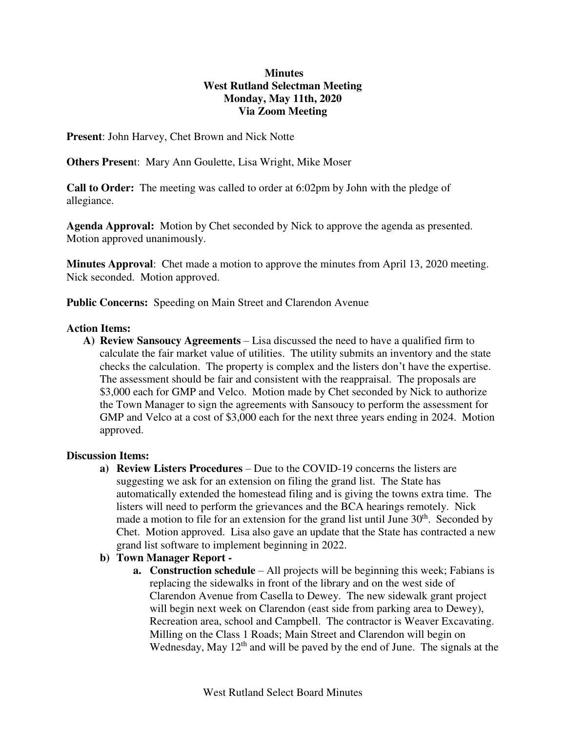### **Minutes West Rutland Selectman Meeting Monday, May 11th, 2020 Via Zoom Meeting**

**Present**: John Harvey, Chet Brown and Nick Notte

**Others Presen**t: Mary Ann Goulette, Lisa Wright, Mike Moser

**Call to Order:** The meeting was called to order at 6:02pm by John with the pledge of allegiance.

**Agenda Approval:** Motion by Chet seconded by Nick to approve the agenda as presented. Motion approved unanimously.

**Minutes Approval**: Chet made a motion to approve the minutes from April 13, 2020 meeting. Nick seconded. Motion approved.

**Public Concerns:** Speeding on Main Street and Clarendon Avenue

### **Action Items:**

**A) Review Sansoucy Agreements** – Lisa discussed the need to have a qualified firm to calculate the fair market value of utilities. The utility submits an inventory and the state checks the calculation. The property is complex and the listers don't have the expertise. The assessment should be fair and consistent with the reappraisal. The proposals are \$3,000 each for GMP and Velco. Motion made by Chet seconded by Nick to authorize the Town Manager to sign the agreements with Sansoucy to perform the assessment for GMP and Velco at a cost of \$3,000 each for the next three years ending in 2024. Motion approved.

# **Discussion Items:**

**a) Review Listers Procedures** – Due to the COVID-19 concerns the listers are suggesting we ask for an extension on filing the grand list. The State has automatically extended the homestead filing and is giving the towns extra time. The listers will need to perform the grievances and the BCA hearings remotely. Nick made a motion to file for an extension for the grand list until June  $30<sup>th</sup>$ . Seconded by Chet. Motion approved. Lisa also gave an update that the State has contracted a new grand list software to implement beginning in 2022.

# **b) Town Manager Report -**

**a. Construction schedule** – All projects will be beginning this week; Fabians is replacing the sidewalks in front of the library and on the west side of Clarendon Avenue from Casella to Dewey. The new sidewalk grant project will begin next week on Clarendon (east side from parking area to Dewey), Recreation area, school and Campbell. The contractor is Weaver Excavating. Milling on the Class 1 Roads; Main Street and Clarendon will begin on Wednesday, May  $12<sup>th</sup>$  and will be paved by the end of June. The signals at the